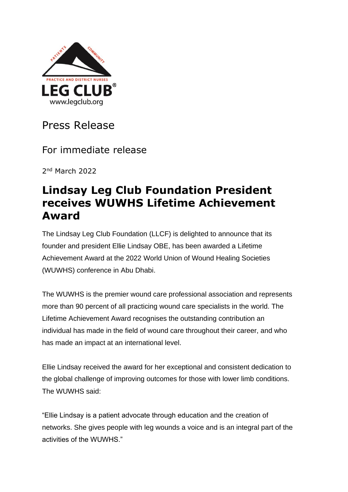

## Press Release

For immediate release

2 nd March 2022

## **Lindsay Leg Club Foundation President receives WUWHS Lifetime Achievement Award**

The Lindsay Leg Club Foundation (LLCF) is delighted to announce that its founder and president Ellie Lindsay OBE, has been awarded a Lifetime Achievement Award at the 2022 World Union of Wound Healing Societies (WUWHS) conference in Abu Dhabi.

The WUWHS is the premier wound care professional association and represents more than 90 percent of all practicing wound care specialists in the world. The Lifetime Achievement Award recognises the outstanding contribution an individual has made in the field of wound care throughout their career, and who has made an impact at an international level.

Ellie Lindsay received the award for her exceptional and consistent dedication to the global challenge of improving outcomes for those with lower limb conditions. The WUWHS said:

"Ellie Lindsay is a patient advocate through education and the creation of networks. She gives people with leg wounds a voice and is an integral part of the activities of the WUWHS."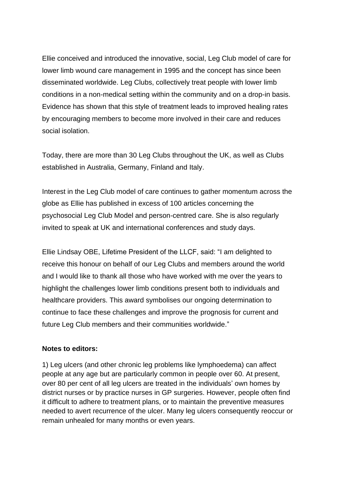Ellie conceived and introduced the innovative, social, Leg Club model of care for lower limb wound care management in 1995 and the concept has since been disseminated worldwide. Leg Clubs, collectively treat people with lower limb conditions in a non-medical setting within the community and on a drop-in basis. Evidence has shown that this style of treatment leads to improved healing rates by encouraging members to become more involved in their care and reduces social isolation.

Today, there are more than 30 Leg Clubs throughout the UK, as well as Clubs established in Australia, Germany, Finland and Italy.

Interest in the Leg Club model of care continues to gather momentum across the globe as Ellie has published in excess of 100 articles concerning the psychosocial Leg Club Model and person-centred care. She is also regularly invited to speak at UK and international conferences and study days.

Ellie Lindsay OBE, Lifetime President of the LLCF, said: "I am delighted to receive this honour on behalf of our Leg Clubs and members around the world and I would like to thank all those who have worked with me over the years to highlight the challenges lower limb conditions present both to individuals and healthcare providers. This award symbolises our ongoing determination to continue to face these challenges and improve the prognosis for current and future Leg Club members and their communities worldwide."

## **Notes to editors:**

1) Leg ulcers (and other chronic leg problems like lymphoedema) can affect people at any age but are particularly common in people over 60. At present, over 80 per cent of all leg ulcers are treated in the individuals' own homes by district nurses or by practice nurses in GP surgeries. However, people often find it difficult to adhere to treatment plans, or to maintain the preventive measures needed to avert recurrence of the ulcer. Many leg ulcers consequently reoccur or remain unhealed for many months or even years.